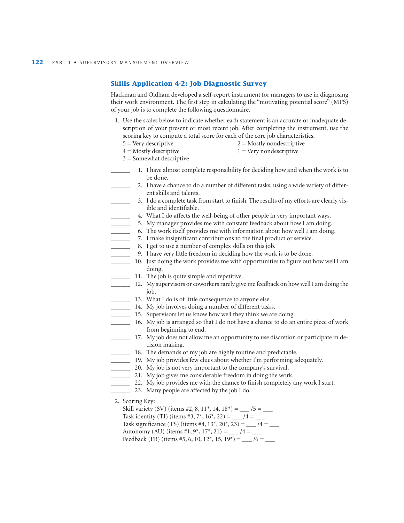## **Skills Application 4-2: Job Diagnostic Survey**

Hackman and Oldham developed a self-report instrument for managers to use in diagnosing their work environment. The first step in calculating the "motivating potential score" (MPS) of your job is to complete the following questionnaire.

- 1. Use the scales below to indicate whether each statement is an accurate or inadequate description of your present or most recent job. After completing the instrument, use the scoring key to compute a total score for each of the core job characteristics.
	- $5 = \text{Very descriptive}$   $2 = \text{Mostly non descriptive}$
	- $4 =$  Mostly descriptive  $1 =$  Very nondescriptive
	- 3 = Somewhat descriptive
		- 1. I have almost complete responsibility for deciding how and when the work is to be done.
	- 2. I have a chance to do a number of different tasks, using a wide variety of different skills and talents.
	- \_\_\_\_\_\_ 3. I do a complete task from start to finish. The results of my efforts are clearly visible and identifiable.
	- \_\_\_\_\_\_ 4. What I do affects the well-being of other people in very important ways.
	- 5. My manager provides me with constant feedback about how I am doing.
	- \_\_\_\_\_\_ 6. The work itself provides me with information about how well I am doing.
	- \_\_\_\_\_\_ 7. I make insignificant contributions to the final product or service.
	- 8. I get to use a number of complex skills on this job.
		- \_\_\_\_\_\_ 9. I have very little freedom in deciding how the work is to be done.
	- \_\_\_\_\_\_ 10. Just doing the work provides me with opportunities to figure out how well I am doing.
	- \_\_\_\_\_\_ 11. The job is quite simple and repetitive.
- \_\_\_\_\_\_ 12. My supervisors or coworkers rarely give me feedback on how well I am doing the job.
- \_\_\_\_\_\_ 13. What I do is of little consequence to anyone else.
- \_\_\_\_\_\_ 14. My job involves doing a number of different tasks.
- \_\_\_\_\_\_ 15. Supervisors let us know how well they think we are doing.
- \_\_\_\_\_\_ 16. My job is arranged so that I do not have a chance to do an entire piece of work from beginning to end.
- \_\_\_\_\_\_ 17. My job does not allow me an opportunity to use discretion or participate in decision making.
- \_\_\_\_\_\_ 18. The demands of my job are highly routine and predictable.
- \_\_\_\_\_\_ 19. My job provides few clues about whether I'm performing adequately.
- \_\_\_\_\_\_ 20. My job is not very important to the company's survival.
- 21. My job gives me considerable freedom in doing the work.
- 22. My job provides me with the chance to finish completely any work I start.
- \_\_\_\_\_\_ 23. Many people are affected by the job I do.
- 2. Scoring Key:

Skill variety (SV) (items #2, 8, 11\*, 14, 18\*) = \_\_\_ /5 = \_\_\_ Task identity (TI) (items #3, 7\*,  $16^*$ , 22) = \_\_\_ /4 = \_\_\_ Task significance (TS) (items #4,  $13^*$ ,  $20^*$ ,  $23$ ) = \_\_\_ /4 = \_\_\_ Autonomy (AU) (items #1,  $9^*$ ,  $17^*$ ,  $21$ ) = \_\_\_ /4 = \_\_ Feedback (FB) (items #5, 6, 10, 12\*, 15, 19\*) = \_\_\_ /6 = \_\_\_